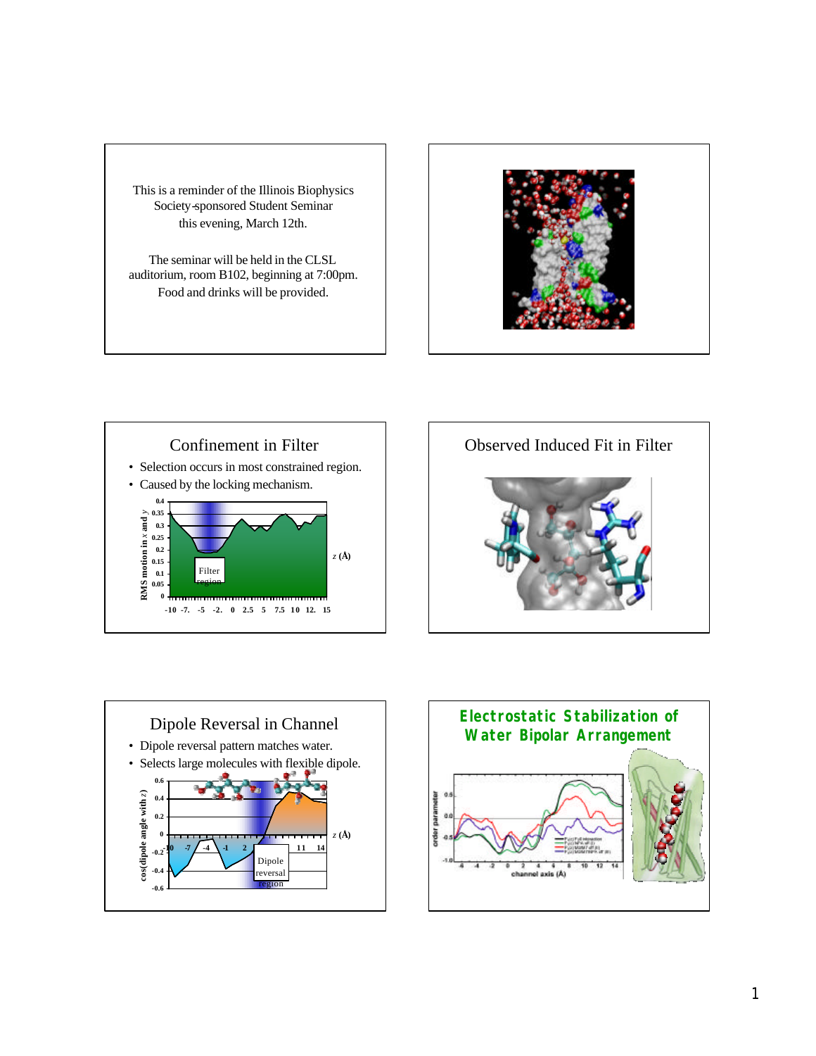This is a reminder of the Illinois Biophysics Society-sponsored Student Seminar this evening, March 12th.

The seminar will be held in the CLSL auditorium, room B102, beginning at 7:00pm. Food and drinks will be provided.









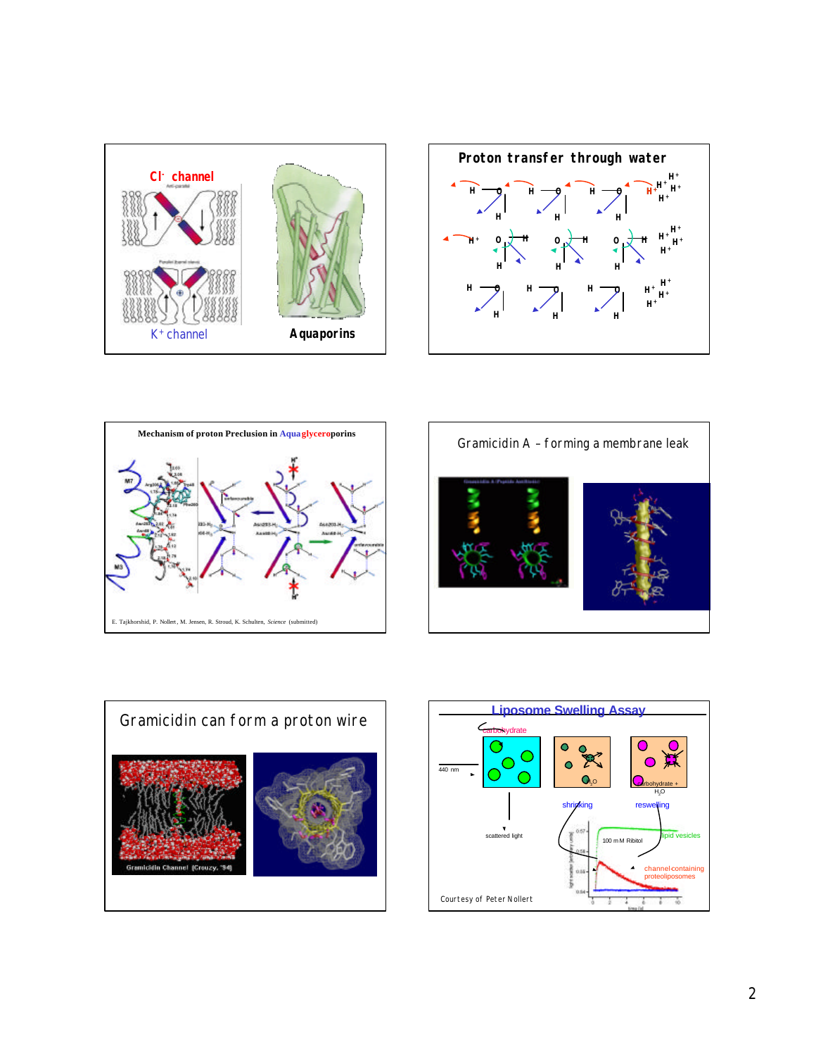









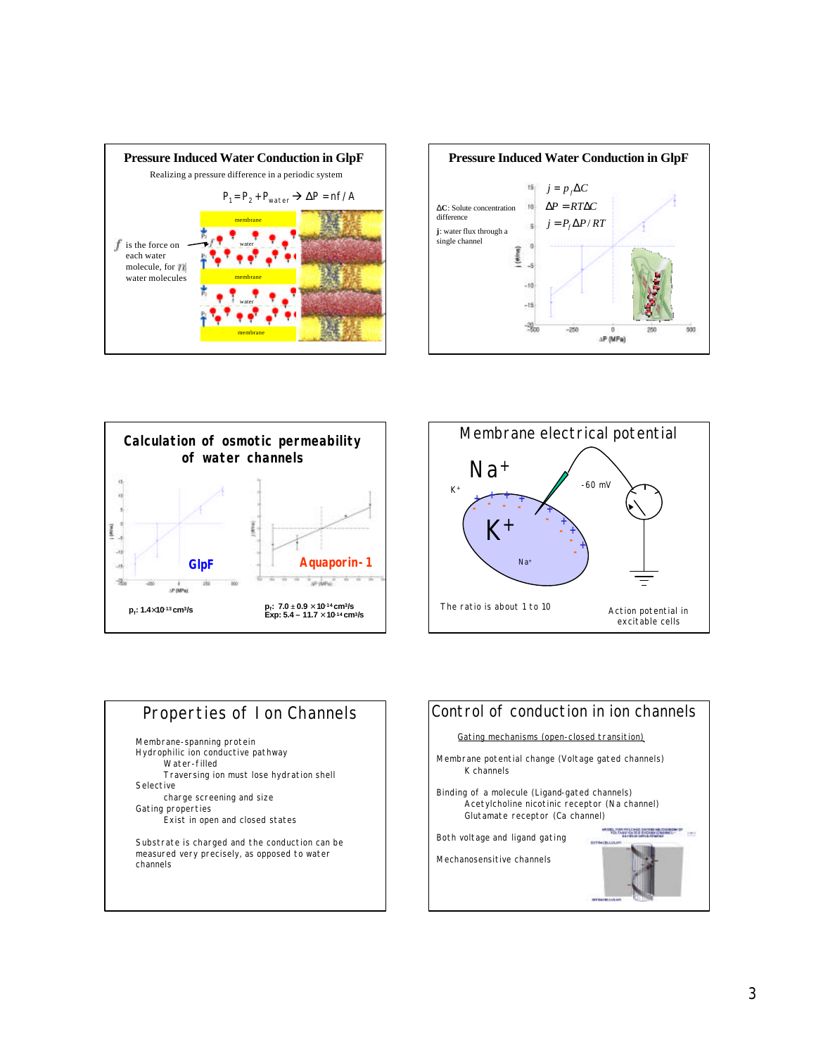









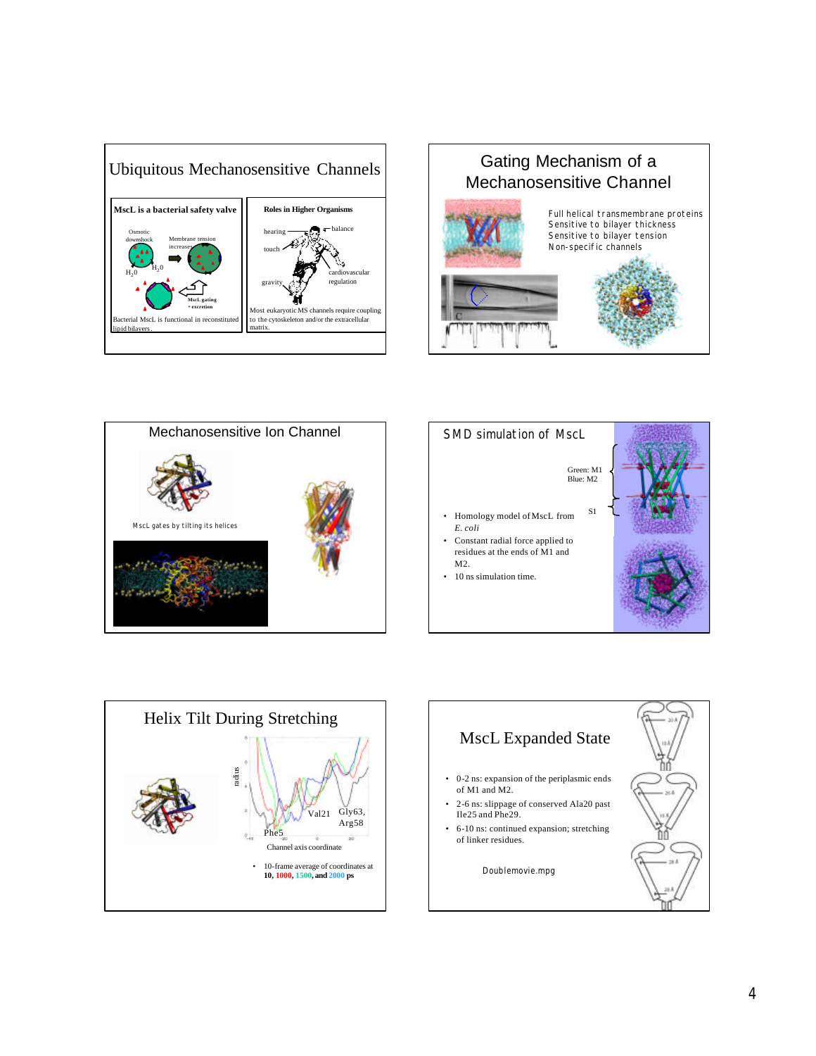